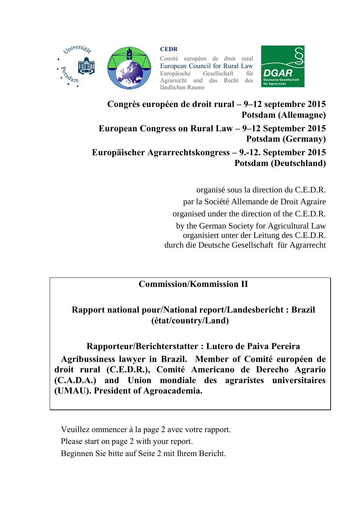

miversits;

**CEDR**

Comité européen de droit rural European Council for Rural Law<br>Europäische Gesellschaft für Gesellschaft Agrarrecht und das Recht des ländlichen Raums



**Congrès européen de droit rural – 9–12 septembre 2015 Potsdam (Allemagne)**

**European Congress on Rural Law – 9–12 September 2015 Potsdam (Germany)**

**Europäischer Agrarrechtskongress – 9.-12. September 2015 Potsdam (Deutschland)**

> organisé sous la direction du C.E.D.R. par la Société Allemande de Droit Agraire organised under the direction of the C.E.D.R. by the German Society for Agricultural Law organisiert unter der Leitung des C.E.D.R. durch die Deutsche Gesellschaft für Agrarrecht

#### **Commission/Kommission II**

## **Rapport national pour/National report/Landesbericht : Brazil (état/country/Land)**

## **Rapporteur/Berichterstatter : Lutero de Paiva Pereira**

**Agribussiness lawyer in Brazil. Member of Comité européen de droit rural (C.E.D.R.), Comité Americano de Derecho Agrario (C.A.D.A.) and Union mondiale des agraristes universitaires (UMAU). President of Agroacademia.** 

Veuillez ommencer à la page 2 avec votre rapport. Please start on page 2 with your report. Beginnen Sie bitte auf Seite 2 mit Ihrem Bericht.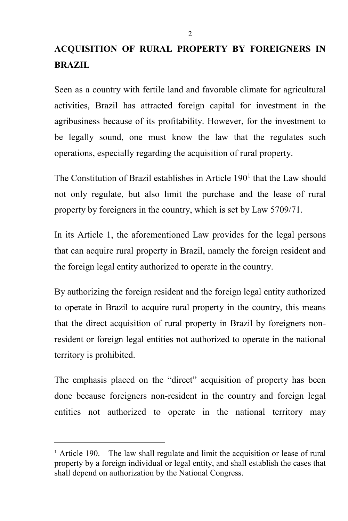# **ACQUISITION OF RURAL PROPERTY BY FOREIGNERS IN BRAZIL**

Seen as a country with fertile land and favorable climate for agricultural activities, Brazil has attracted foreign capital for investment in the agribusiness because of its profitability. However, for the investment to be legally sound, one must know the law that the regulates such operations, especially regarding the acquisition of rural property.

The Constitution of Brazil establishes in Article  $190<sup>1</sup>$  that the Law should not only regulate, but also limit the purchase and the lease of rural property by foreigners in the country, which is set by Law 5709/71.

In its Article 1, the aforementioned Law provides for the legal persons that can acquire rural property in Brazil, namely the foreign resident and the foreign legal entity authorized to operate in the country.

By authorizing the foreign resident and the foreign legal entity authorized to operate in Brazil to acquire rural property in the country, this means that the direct acquisition of rural property in Brazil by foreigners nonresident or foreign legal entities not authorized to operate in the national territory is prohibited.

The emphasis placed on the "direct" acquisition of property has been done because foreigners non-resident in the country and foreign legal entities not authorized to operate in the national territory may

l

<sup>&</sup>lt;sup>1</sup> Article 190. The law shall regulate and limit the acquisition or lease of rural property by a foreign individual or legal entity, and shall establish the cases that shall depend on authorization by the National Congress.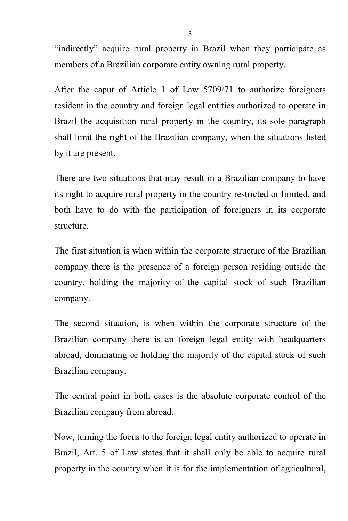"indirectly" acquire rural property in Brazil when they participate as members of a Brazilian corporate entity owning rural property.

After the caput of Article 1 of Law 5709/71 to authorize foreigners resident in the country and foreign legal entities authorized to operate in Brazil the acquisition rural property in the country, its sole paragraph shall limit the right of the Brazilian company, when the situations listed by it are present.

There are two situations that may result in a Brazilian company to have its right to acquire rural property in the country restricted or limited, and both have to do with the participation of foreigners in its corporate structure.

The first situation is when within the corporate structure of the Brazilian company there is the presence of a foreign person residing outside the country, holding the majority of the capital stock of such Brazilian company.

The second situation, is when within the corporate structure of the Brazilian company there is an foreign legal entity with headquarters abroad, dominating or holding the majority of the capital stock of such Brazilian company.

The central point in both cases is the absolute corporate control of the Brazilian company from abroad.

Now, turning the focus to the foreign legal entity authorized to operate in Brazil, Art. 5 of Law states that it shall only be able to acquire rural property in the country when it is for the implementation of agricultural,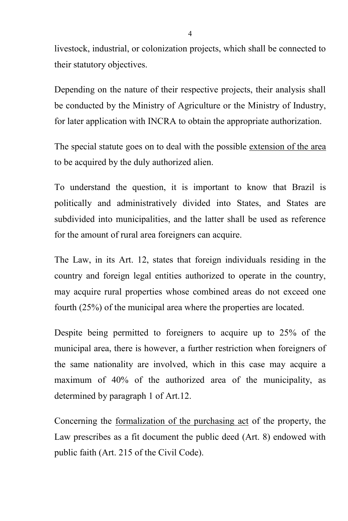livestock, industrial, or colonization projects, which shall be connected to their statutory objectives.

Depending on the nature of their respective projects, their analysis shall be conducted by the Ministry of Agriculture or the Ministry of Industry, for later application with INCRA to obtain the appropriate authorization.

The special statute goes on to deal with the possible extension of the area to be acquired by the duly authorized alien.

To understand the question, it is important to know that Brazil is politically and administratively divided into States, and States are subdivided into municipalities, and the latter shall be used as reference for the amount of rural area foreigners can acquire.

The Law, in its Art. 12, states that foreign individuals residing in the country and foreign legal entities authorized to operate in the country, may acquire rural properties whose combined areas do not exceed one fourth (25%) of the municipal area where the properties are located.

Despite being permitted to foreigners to acquire up to 25% of the municipal area, there is however, a further restriction when foreigners of the same nationality are involved, which in this case may acquire a maximum of 40% of the authorized area of the municipality, as determined by paragraph 1 of Art.12.

Concerning the formalization of the purchasing act of the property, the Law prescribes as a fit document the public deed (Art. 8) endowed with public faith (Art. 215 of the Civil Code).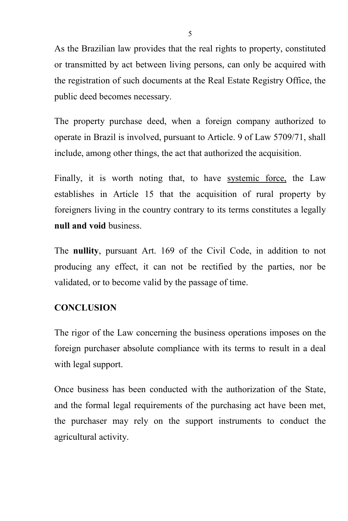As the Brazilian law provides that the real rights to property, constituted or transmitted by act between living persons, can only be acquired with the registration of such documents at the Real Estate Registry Office, the public deed becomes necessary.

The property purchase deed, when a foreign company authorized to operate in Brazil is involved, pursuant to Article. 9 of Law 5709/71, shall include, among other things, the act that authorized the acquisition.

Finally, it is worth noting that, to have systemic force, the Law establishes in Article 15 that the acquisition of rural property by foreigners living in the country contrary to its terms constitutes a legally **null and void** business.

The **nullity**, pursuant Art. 169 of the Civil Code, in addition to not producing any effect, it can not be rectified by the parties, nor be validated, or to become valid by the passage of time.

#### **CONCLUSION**

The rigor of the Law concerning the business operations imposes on the foreign purchaser absolute compliance with its terms to result in a deal with legal support.

Once business has been conducted with the authorization of the State, and the formal legal requirements of the purchasing act have been met, the purchaser may rely on the support instruments to conduct the agricultural activity.